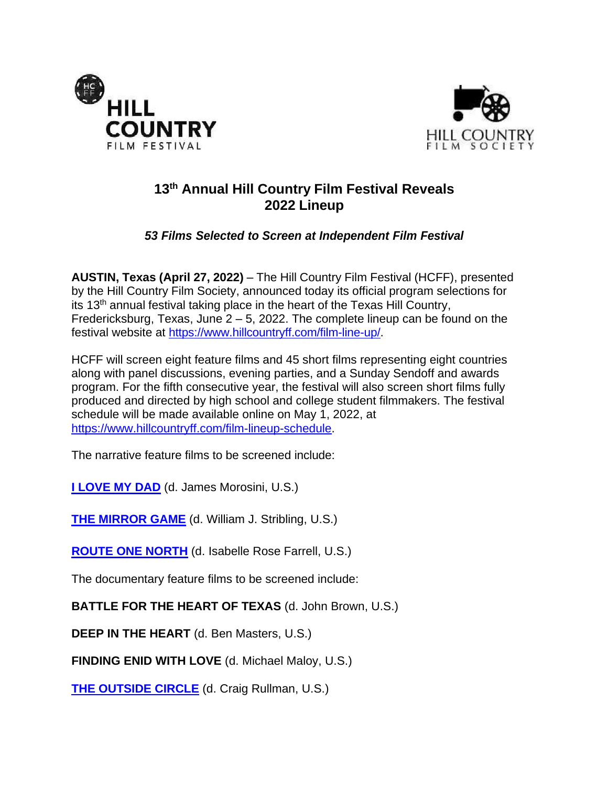



# **13 th Annual Hill Country Film Festival Reveals 2022 Lineup**

## *53 Films Selected to Screen at Independent Film Festival*

**AUSTIN, Texas (April 27, 2022)** – The Hill Country Film Festival (HCFF), presented by the Hill Country Film Society, announced today its official program selections for its 13<sup>th</sup> annual festival taking place in the heart of the Texas Hill Country, Fredericksburg, Texas, June 2 – 5, 2022. The complete lineup can be found on the festival website at [https://www.hillcountryff.com/film-line-up/.](https://www.hillcountryff.com/film-line-up/)

HCFF will screen eight feature films and 45 short films representing eight countries along with panel discussions, evening parties, and a Sunday Sendoff and awards program. For the fifth consecutive year, the festival will also screen short films fully produced and directed by high school and college student filmmakers. The festival schedule will be made available online on May 1, 2022, at [https://www.hillcountryff.com/film-lineup-schedule.](https://www.hillcountryff.com/film-lineup-schedule)

The narrative feature films to be screened include:

**[I LOVE MY DAD](https://www.imdb.com/title/tt14935966/)** (d. James Morosini, U.S.)

**[THE MIRROR GAME](https://www.imdb.com/title/tt15162002/?ref_=fn_al_tt_1)** (d. William J. Stribling, U.S.)

**[ROUTE ONE NORTH](https://www.imdb.com/title/tt17068798/?ref_=fn_al_tt_1)** (d. Isabelle Rose Farrell, U.S.)

The documentary feature films to be screened include:

**BATTLE FOR THE HEART OF TEXAS** (d. John Brown, U.S.)

**DEEP IN THE HEART** (d. Ben Masters, U.S.)

**FINDING ENID WITH LOVE** (d. Michael Maloy, U.S.)

**[THE OUTSIDE CIRCLE](https://www.imdb.com/title/tt18928932/?ref_=fn_al_tt_1)** (d. Craig Rullman, U.S.)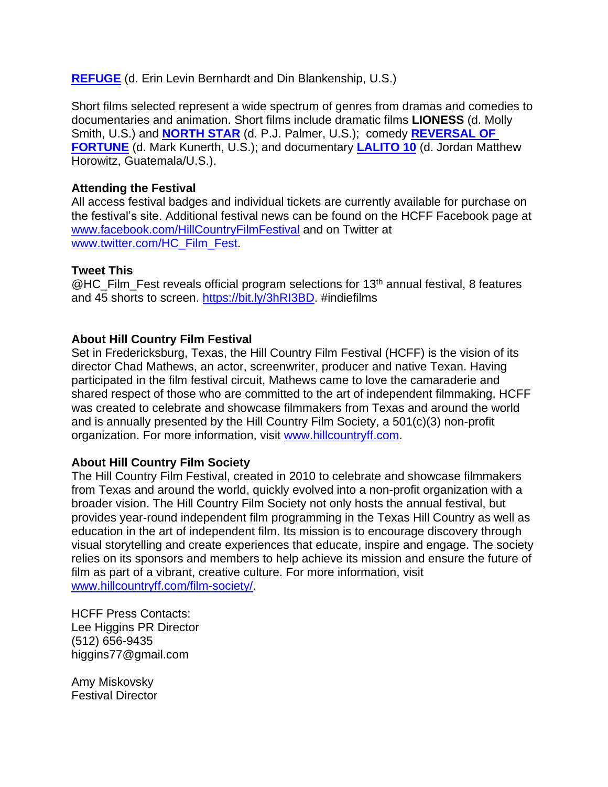**[REFUGE](https://www.imdb.com/title/tt16138938/?ref_=nm_flmg_prd_2)** (d. Erin Levin Bernhardt and Din Blankenship, U.S.)

Short films selected represent a wide spectrum of genres from dramas and comedies to documentaries and animation. Short films include dramatic films **LIONESS** (d. Molly Smith, U.S.) and **[NORTH STAR](https://www.imdb.com/title/tt10684644/?ref_=fn_al_tt_2)** (d. P.J. Palmer, U.S.); comedy **[REVERSAL OF](https://www.imdb.com/title/tt12533590/?ref_=fn_al_tt_2)  [FORTUNE](https://www.imdb.com/title/tt12533590/?ref_=fn_al_tt_2)** (d. Mark Kunerth, U.S.); and documentary **[LALITO 10](https://www.imdb.com/title/tt17221154/)** (d. Jordan Matthew Horowitz, Guatemala/U.S.).

#### **Attending the Festival**

All access festival badges and individual tickets are currently available for purchase on the festival's site. Additional festival news can be found on the HCFF Facebook page at [www.facebook.com/HillCountryFilmFestival](http://www.facebook.com/HillCountryFilmFestival) and on Twitter at [www.twitter.com/HC\\_Film\\_Fest.](http://www.twitter.com/HC_Film_Fest)

#### **Tweet This**

 $@$ HC\_Film\_Fest reveals official program selections for 13<sup>th</sup> annual festival, 8 features and 45 shorts to screen. [https://bit.ly/3hRI3BD.](https://bit.ly/3hRI3BD) #indiefilms

#### **About Hill Country Film Festival**

Set in Fredericksburg, Texas, the Hill Country Film Festival (HCFF) is the vision of its director Chad Mathews, an actor, screenwriter, producer and native Texan. Having participated in the film festival circuit, Mathews came to love the camaraderie and shared respect of those who are committed to the art of independent filmmaking. HCFF was created to celebrate and showcase filmmakers from Texas and around the world and is annually presented by the Hill Country Film Society, a 501(c)(3) non-profit organization. For more information, visit [www.hillcountryff.com.](http://www.hillcountryff.com/)

### **About Hill Country Film Society**

The Hill Country Film Festival, created in 2010 to celebrate and showcase filmmakers from Texas and around the world, quickly evolved into a non-profit organization with a broader vision. The Hill Country Film Society not only hosts the annual festival, but provides year-round independent film programming in the Texas Hill Country as well as education in the art of independent film. Its mission is to encourage discovery through visual storytelling and create experiences that educate, inspire and engage. The society relies on its sponsors and members to help achieve its mission and ensure the future of film as part of a vibrant, creative culture. For more information, visit [www.hillcountryff.com/film-society/.](http://www.hillcountryff.com/film-society/)

HCFF Press Contacts: Lee Higgins PR Director (512) 656-9435 higgins77@gmail.com

Amy Miskovsky Festival Director